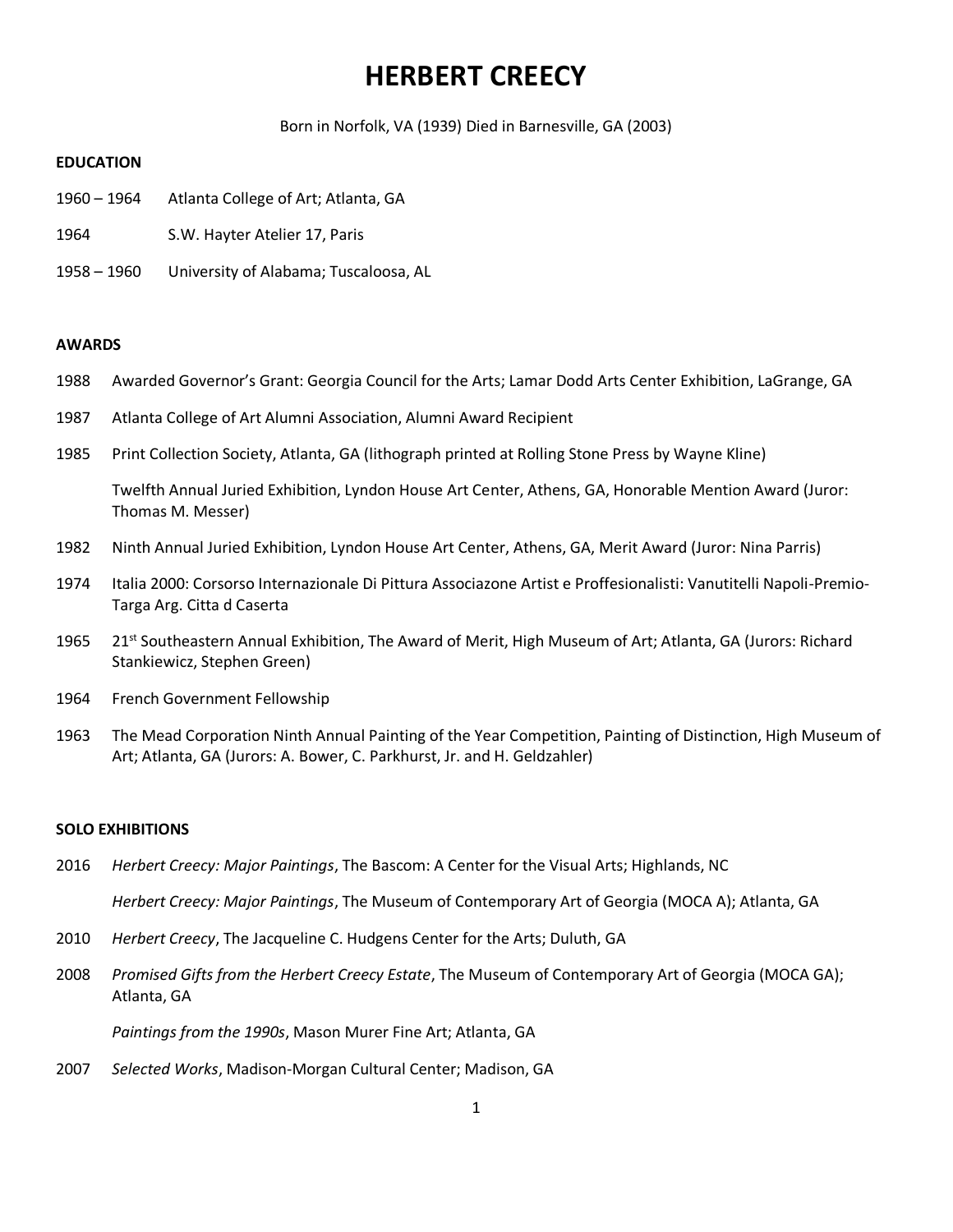# **HERBERT CREECY**

Born in Norfolk, VA (1939) Died in Barnesville, GA (2003)

# **EDUCATION**

- 1960 1964 Atlanta College of Art; Atlanta, GA
- 1964 S.W. Hayter Atelier 17, Paris
- 1958 1960 University of Alabama; Tuscaloosa, AL

#### **AWARDS**

- 1988 Awarded Governor's Grant: Georgia Council for the Arts; Lamar Dodd Arts Center Exhibition, LaGrange, GA
- 1987 Atlanta College of Art Alumni Association, Alumni Award Recipient
- 1985 Print Collection Society, Atlanta, GA (lithograph printed at Rolling Stone Press by Wayne Kline)

Twelfth Annual Juried Exhibition, Lyndon House Art Center, Athens, GA, Honorable Mention Award (Juror: Thomas M. Messer)

- 1982 Ninth Annual Juried Exhibition, Lyndon House Art Center, Athens, GA, Merit Award (Juror: Nina Parris)
- 1974 Italia 2000: Corsorso Internazionale Di Pittura Associazone Artist e Proffesionalisti: Vanutitelli Napoli-Premio-Targa Arg. Citta d Caserta
- 1965 21<sup>st</sup> Southeastern Annual Exhibition, The Award of Merit, High Museum of Art; Atlanta, GA (Jurors: Richard Stankiewicz, Stephen Green)
- 1964 French Government Fellowship
- 1963 The Mead Corporation Ninth Annual Painting of the Year Competition, Painting of Distinction, High Museum of Art; Atlanta, GA (Jurors: A. Bower, C. Parkhurst, Jr. and H. Geldzahler)

#### **SOLO EXHIBITIONS**

2016 *Herbert Creecy: Major Paintings*, The Bascom: A Center for the Visual Arts; Highlands, NC

*Herbert Creecy: Major Paintings*, The Museum of Contemporary Art of Georgia (MOCA A); Atlanta, GA

- 2010 *Herbert Creecy*, The Jacqueline C. Hudgens Center for the Arts; Duluth, GA
- 2008 *Promised Gifts from the Herbert Creecy Estate*, The Museum of Contemporary Art of Georgia (MOCA GA); Atlanta, GA

*Paintings from the 1990s*, Mason Murer Fine Art; Atlanta, GA

2007 *Selected Works*, Madison-Morgan Cultural Center; Madison, GA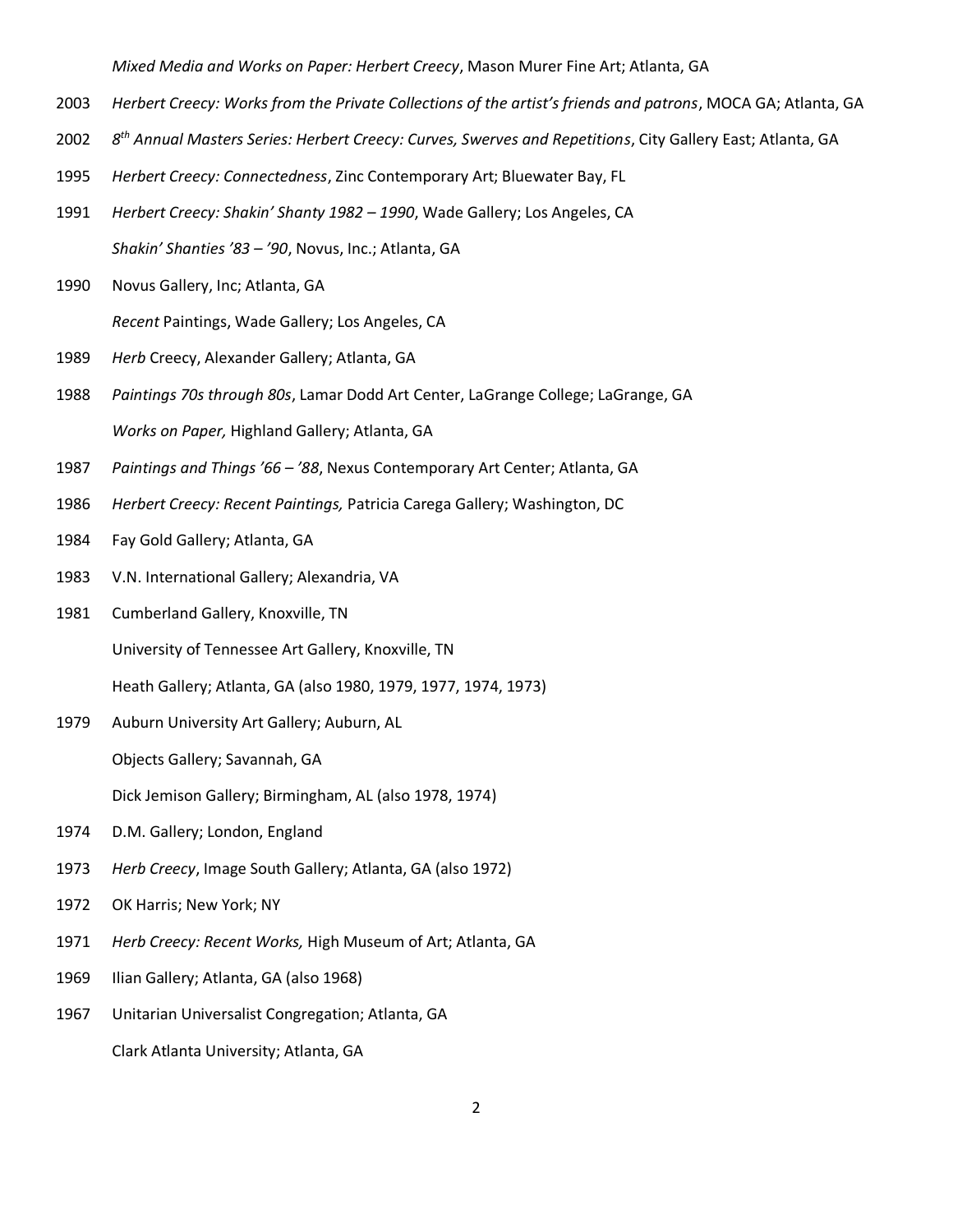*Mixed Media and Works on Paper: Herbert Creecy*, Mason Murer Fine Art; Atlanta, GA

- *Herbert Creecy: Works from the Private Collections of the artist's friends and patrons*, MOCA GA; Atlanta, GA
- *8 th Annual Masters Series: Herbert Creecy: Curves, Swerves and Repetitions*, City Gallery East; Atlanta, GA
- *Herbert Creecy: Connectedness*, Zinc Contemporary Art; Bluewater Bay, FL
- *Herbert Creecy: Shakin' Shanty 1982 – 1990*, Wade Gallery; Los Angeles, CA *Shakin' Shanties '83 – '90*, Novus, Inc.; Atlanta, GA
- Novus Gallery, Inc; Atlanta, GA

*Recent* Paintings, Wade Gallery; Los Angeles, CA

- *Herb* Creecy, Alexander Gallery; Atlanta, GA
- *Paintings 70s through 80s*, Lamar Dodd Art Center, LaGrange College; LaGrange, GA *Works on Paper,* Highland Gallery; Atlanta, GA
- *Paintings and Things '66 – '88*, Nexus Contemporary Art Center; Atlanta, GA
- *Herbert Creecy: Recent Paintings,* Patricia Carega Gallery; Washington, DC
- Fay Gold Gallery; Atlanta, GA
- V.N. International Gallery; Alexandria, VA
- Cumberland Gallery, Knoxville, TN

University of Tennessee Art Gallery, Knoxville, TN

Heath Gallery; Atlanta, GA (also 1980, 1979, 1977, 1974, 1973)

Auburn University Art Gallery; Auburn, AL

Objects Gallery; Savannah, GA

Dick Jemison Gallery; Birmingham, AL (also 1978, 1974)

- D.M. Gallery; London, England
- *Herb Creecy*, Image South Gallery; Atlanta, GA (also 1972)
- OK Harris; New York; NY
- *Herb Creecy: Recent Works,* High Museum of Art; Atlanta, GA
- Ilian Gallery; Atlanta, GA (also 1968)
- Unitarian Universalist Congregation; Atlanta, GA

Clark Atlanta University; Atlanta, GA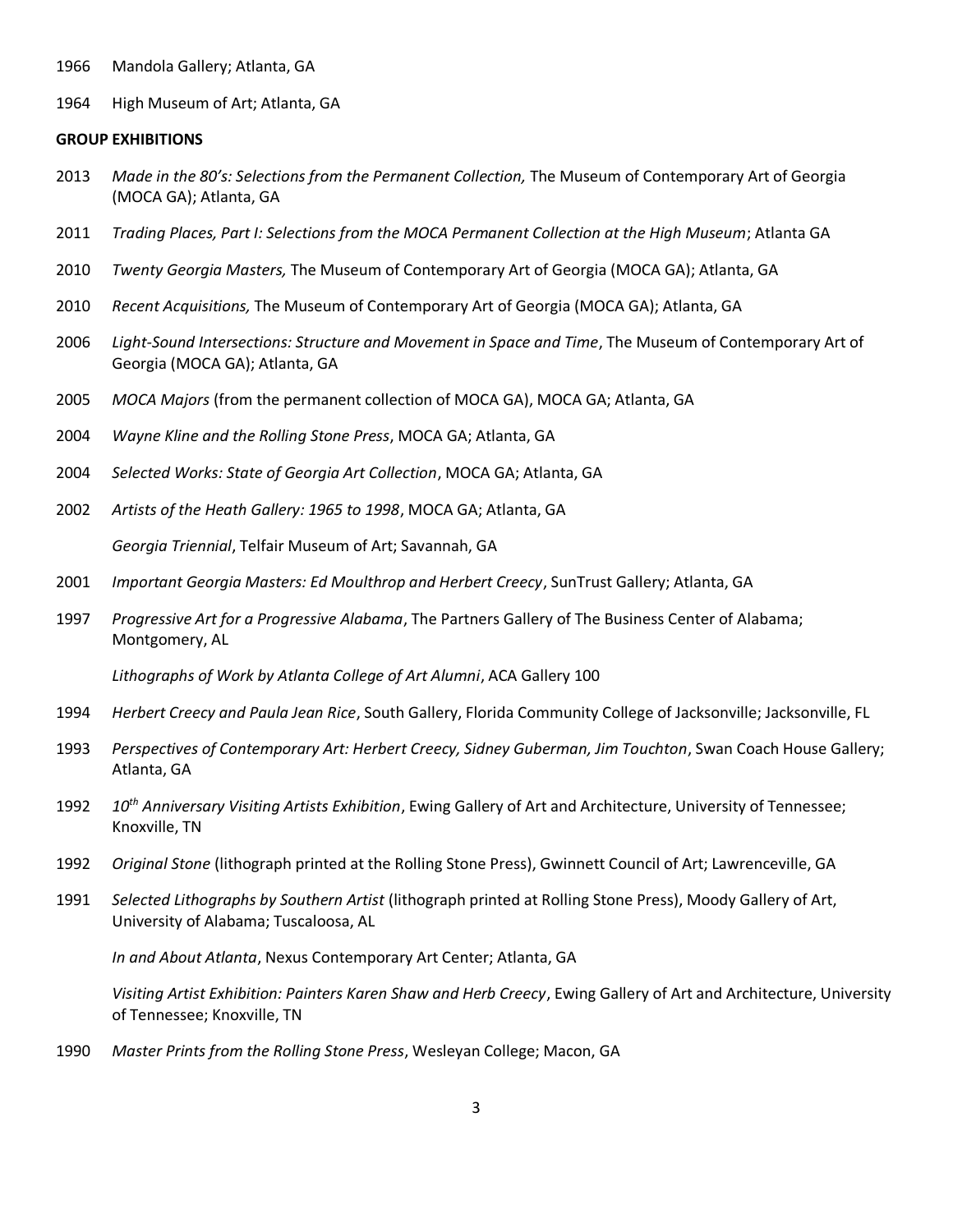- Mandola Gallery; Atlanta, GA
- High Museum of Art; Atlanta, GA

#### **GROUP EXHIBITIONS**

- *Made in the 80's: Selections from the Permanent Collection,* The Museum of Contemporary Art of Georgia (MOCA GA); Atlanta, GA
- *Trading Places, Part I: Selections from the MOCA Permanent Collection at the High Museum*; Atlanta GA
- *Twenty Georgia Masters,* The Museum of Contemporary Art of Georgia (MOCA GA); Atlanta, GA
- *Recent Acquisitions,* The Museum of Contemporary Art of Georgia (MOCA GA); Atlanta, GA
- *Light-Sound Intersections: Structure and Movement in Space and Time*, The Museum of Contemporary Art of Georgia (MOCA GA); Atlanta, GA
- *MOCA Majors* (from the permanent collection of MOCA GA), MOCA GA; Atlanta, GA
- *Wayne Kline and the Rolling Stone Press*, MOCA GA; Atlanta, GA
- *Selected Works: State of Georgia Art Collection*, MOCA GA; Atlanta, GA
- *Artists of the Heath Gallery: 1965 to 1998*, MOCA GA; Atlanta, GA *Georgia Triennial*, Telfair Museum of Art; Savannah, GA
- *Important Georgia Masters: Ed Moulthrop and Herbert Creecy*, SunTrust Gallery; Atlanta, GA
- *Progressive Art for a Progressive Alabama*, The Partners Gallery of The Business Center of Alabama; Montgomery, AL

*Lithographs of Work by Atlanta College of Art Alumni*, ACA Gallery 100

- *Herbert Creecy and Paula Jean Rice*, South Gallery, Florida Community College of Jacksonville; Jacksonville, FL
- *Perspectives of Contemporary Art: Herbert Creecy, Sidney Guberman, Jim Touchton*, Swan Coach House Gallery; Atlanta, GA
- *10th Anniversary Visiting Artists Exhibition*, Ewing Gallery of Art and Architecture, University of Tennessee; Knoxville, TN
- *Original Stone* (lithograph printed at the Rolling Stone Press), Gwinnett Council of Art; Lawrenceville, GA
- *Selected Lithographs by Southern Artist* (lithograph printed at Rolling Stone Press), Moody Gallery of Art, University of Alabama; Tuscaloosa, AL

*In and About Atlanta*, Nexus Contemporary Art Center; Atlanta, GA

*Visiting Artist Exhibition: Painters Karen Shaw and Herb Creecy*, Ewing Gallery of Art and Architecture, University of Tennessee; Knoxville, TN

*Master Prints from the Rolling Stone Press*, Wesleyan College; Macon, GA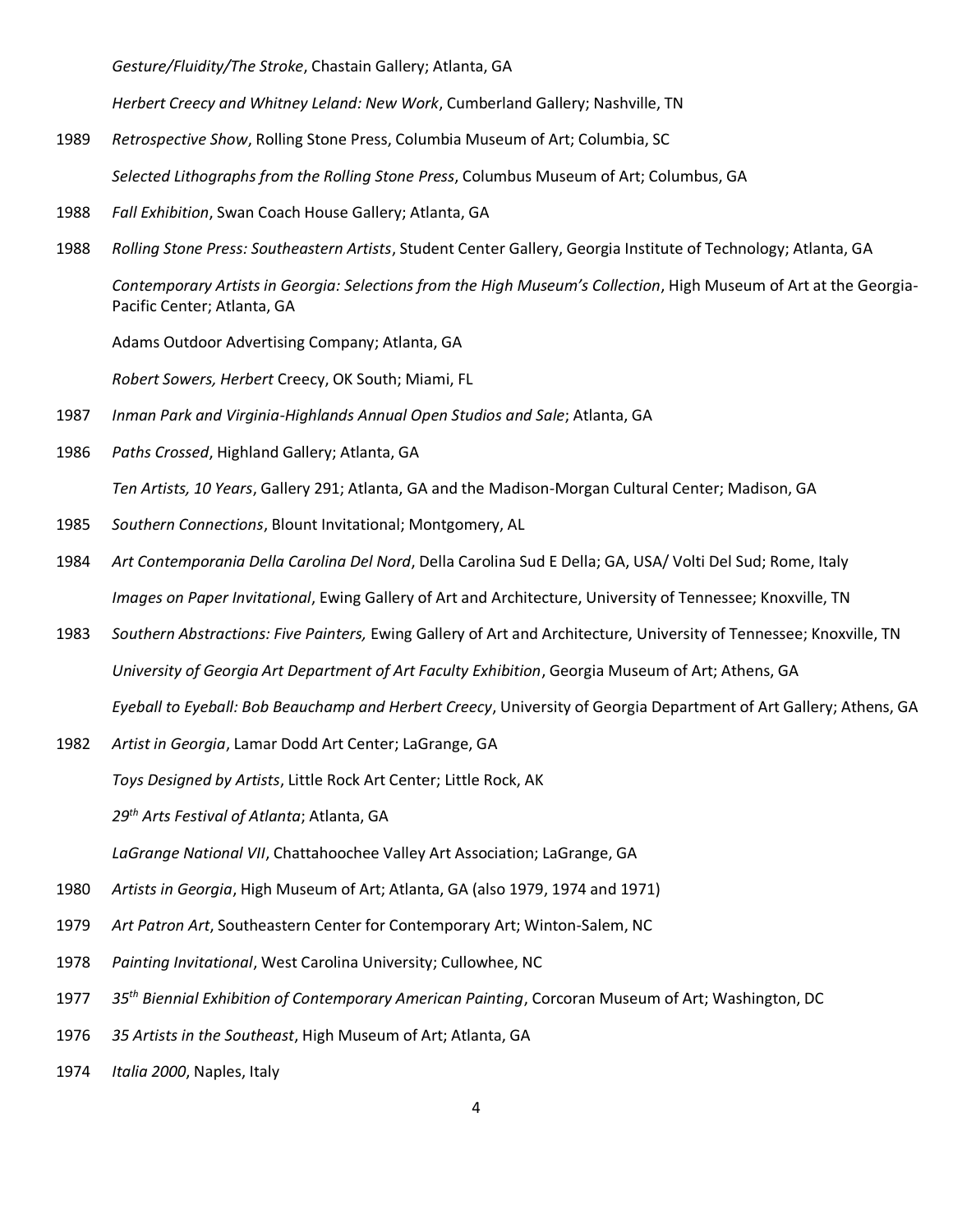*Gesture/Fluidity/The Stroke*, Chastain Gallery; Atlanta, GA

*Herbert Creecy and Whitney Leland: New Work*, Cumberland Gallery; Nashville, TN

1989 *Retrospective Show*, Rolling Stone Press, Columbia Museum of Art; Columbia, SC

*Selected Lithographs from the Rolling Stone Press*, Columbus Museum of Art; Columbus, GA

- 1988 *Fall Exhibition*, Swan Coach House Gallery; Atlanta, GA
- 1988 *Rolling Stone Press: Southeastern Artists*, Student Center Gallery, Georgia Institute of Technology; Atlanta, GA

*Contemporary Artists in Georgia: Selections from the High Museum's Collection*, High Museum of Art at the Georgia-Pacific Center; Atlanta, GA

Adams Outdoor Advertising Company; Atlanta, GA

*Robert Sowers, Herbert* Creecy, OK South; Miami, FL

- 1987 *Inman Park and Virginia-Highlands Annual Open Studios and Sale*; Atlanta, GA
- 1986 *Paths Crossed*, Highland Gallery; Atlanta, GA

*Ten Artists, 10 Years*, Gallery 291; Atlanta, GA and the Madison-Morgan Cultural Center; Madison, GA

- 1985 *Southern Connections*, Blount Invitational; Montgomery, AL
- 1984 *Art Contemporania Della Carolina Del Nord*, Della Carolina Sud E Della; GA, USA/ Volti Del Sud; Rome, Italy *Images on Paper Invitational*, Ewing Gallery of Art and Architecture, University of Tennessee; Knoxville, TN
- 1983 *Southern Abstractions: Five Painters,* Ewing Gallery of Art and Architecture, University of Tennessee; Knoxville, TN *University of Georgia Art Department of Art Faculty Exhibition*, Georgia Museum of Art; Athens, GA *Eyeball to Eyeball: Bob Beauchamp and Herbert Creecy*, University of Georgia Department of Art Gallery; Athens, GA
- 1982 *Artist in Georgia*, Lamar Dodd Art Center; LaGrange, GA

*Toys Designed by Artists*, Little Rock Art Center; Little Rock, AK

*29th Arts Festival of Atlanta*; Atlanta, GA

*LaGrange National VII*, Chattahoochee Valley Art Association; LaGrange, GA

- 1980 *Artists in Georgia*, High Museum of Art; Atlanta, GA (also 1979, 1974 and 1971)
- 1979 *Art Patron Art*, Southeastern Center for Contemporary Art; Winton-Salem, NC
- 1978 *Painting Invitational*, West Carolina University; Cullowhee, NC
- 1977 *35th Biennial Exhibition of Contemporary American Painting*, Corcoran Museum of Art; Washington, DC
- 1976 *35 Artists in the Southeast*, High Museum of Art; Atlanta, GA
- 1974 *Italia 2000*, Naples, Italy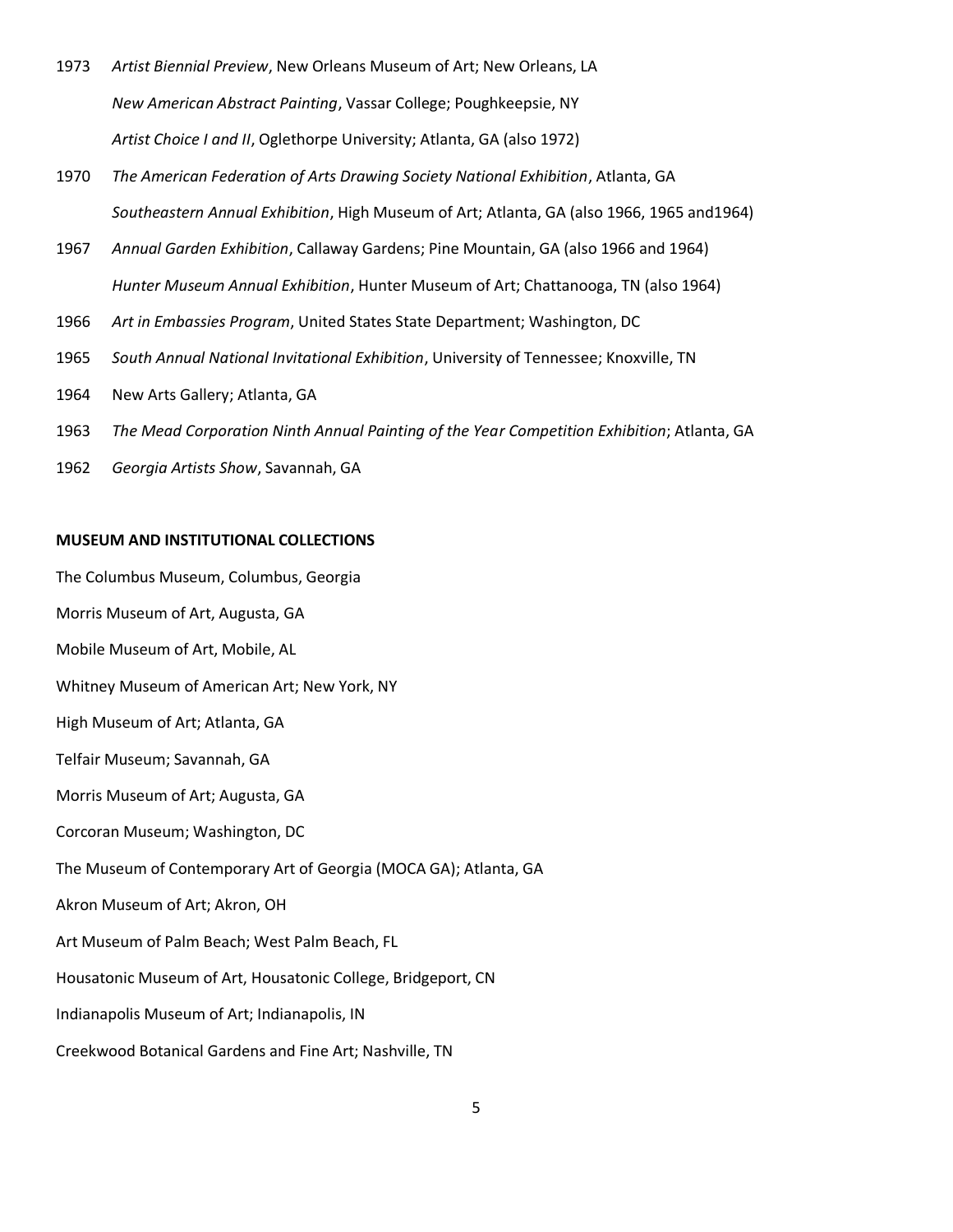- 1973 *Artist Biennial Preview*, New Orleans Museum of Art; New Orleans, LA *New American Abstract Painting*, Vassar College; Poughkeepsie, NY *Artist Choice I and II*, Oglethorpe University; Atlanta, GA (also 1972)
- 1970 *The American Federation of Arts Drawing Society National Exhibition*, Atlanta, GA *Southeastern Annual Exhibition*, High Museum of Art; Atlanta, GA (also 1966, 1965 and1964)
- 1967 *Annual Garden Exhibition*, Callaway Gardens; Pine Mountain, GA (also 1966 and 1964) *Hunter Museum Annual Exhibition*, Hunter Museum of Art; Chattanooga, TN (also 1964)
- 1966 *Art in Embassies Program*, United States State Department; Washington, DC
- 1965 *South Annual National Invitational Exhibition*, University of Tennessee; Knoxville, TN
- 1964 New Arts Gallery; Atlanta, GA
- 1963 *The Mead Corporation Ninth Annual Painting of the Year Competition Exhibition*; Atlanta, GA
- 1962 *Georgia Artists Show*, Savannah, GA

## **MUSEUM AND INSTITUTIONAL COLLECTIONS**

The Columbus Museum, Columbus, Georgia Morris Museum of Art, Augusta, GA Mobile Museum of Art, Mobile, AL Whitney Museum of American Art; New York, NY High Museum of Art; Atlanta, GA Telfair Museum; Savannah, GA Morris Museum of Art; Augusta, GA Corcoran Museum; Washington, DC The Museum of Contemporary Art of Georgia (MOCA GA); Atlanta, GA Akron Museum of Art; Akron, OH Art Museum of Palm Beach; West Palm Beach, FL Housatonic Museum of Art, Housatonic College, Bridgeport, CN Indianapolis Museum of Art; Indianapolis, IN Creekwood Botanical Gardens and Fine Art; Nashville, TN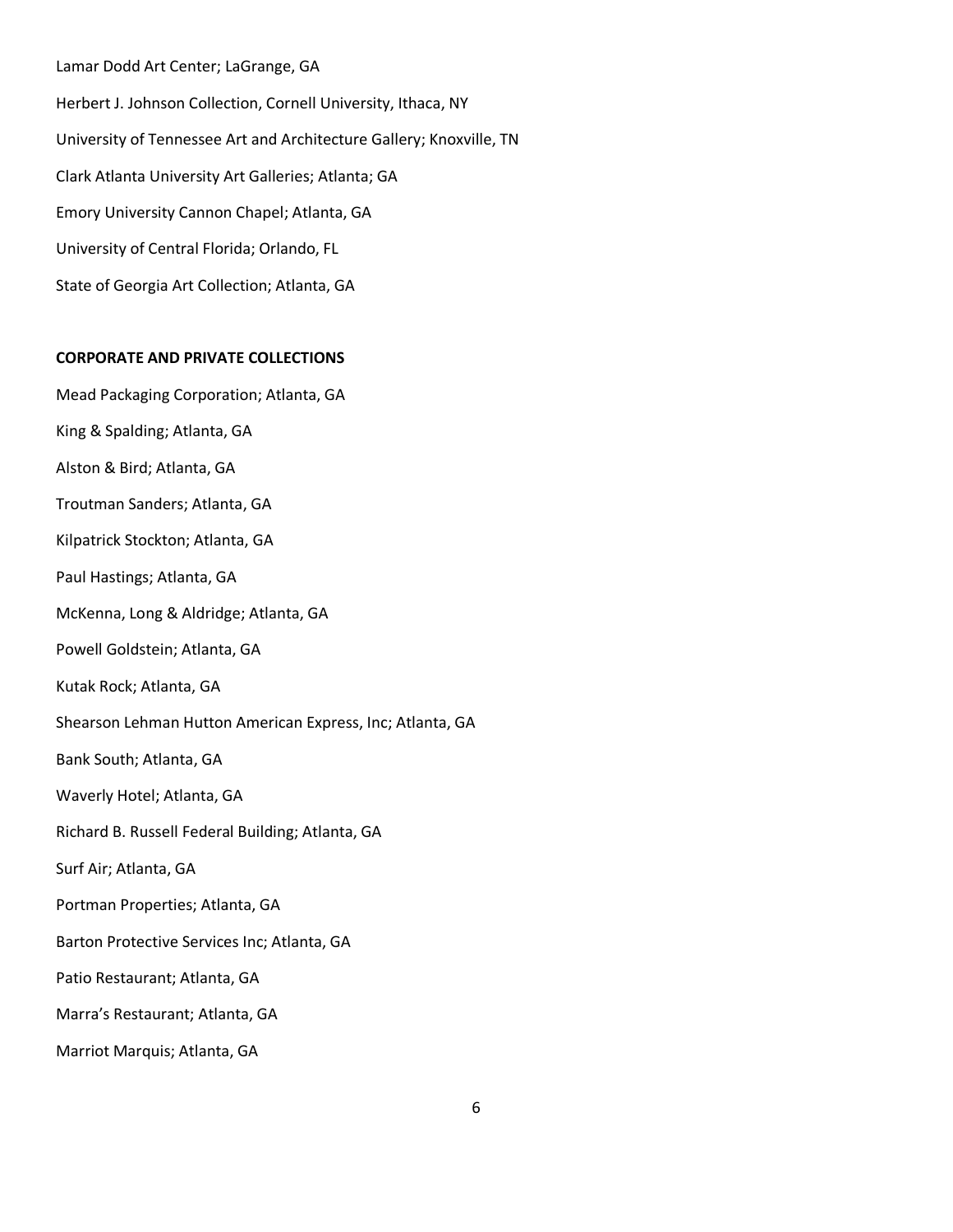Lamar Dodd Art Center; LaGrange, GA Herbert J. Johnson Collection, Cornell University, Ithaca, NY University of Tennessee Art and Architecture Gallery; Knoxville, TN Clark Atlanta University Art Galleries; Atlanta; GA Emory University Cannon Chapel; Atlanta, GA University of Central Florida; Orlando, FL State of Georgia Art Collection; Atlanta, GA

## **CORPORATE AND PRIVATE COLLECTIONS**

Mead Packaging Corporation; Atlanta, GA King & Spalding; Atlanta, GA Alston & Bird; Atlanta, GA Troutman Sanders; Atlanta, GA Kilpatrick Stockton; Atlanta, GA Paul Hastings; Atlanta, GA McKenna, Long & Aldridge; Atlanta, GA Powell Goldstein; Atlanta, GA Kutak Rock; Atlanta, GA Shearson Lehman Hutton American Express, Inc; Atlanta, GA Bank South; Atlanta, GA Waverly Hotel; Atlanta, GA Richard B. Russell Federal Building; Atlanta, GA Surf Air; Atlanta, GA Portman Properties; Atlanta, GA Barton Protective Services Inc; Atlanta, GA Patio Restaurant; Atlanta, GA Marra's Restaurant; Atlanta, GA Marriot Marquis; Atlanta, GA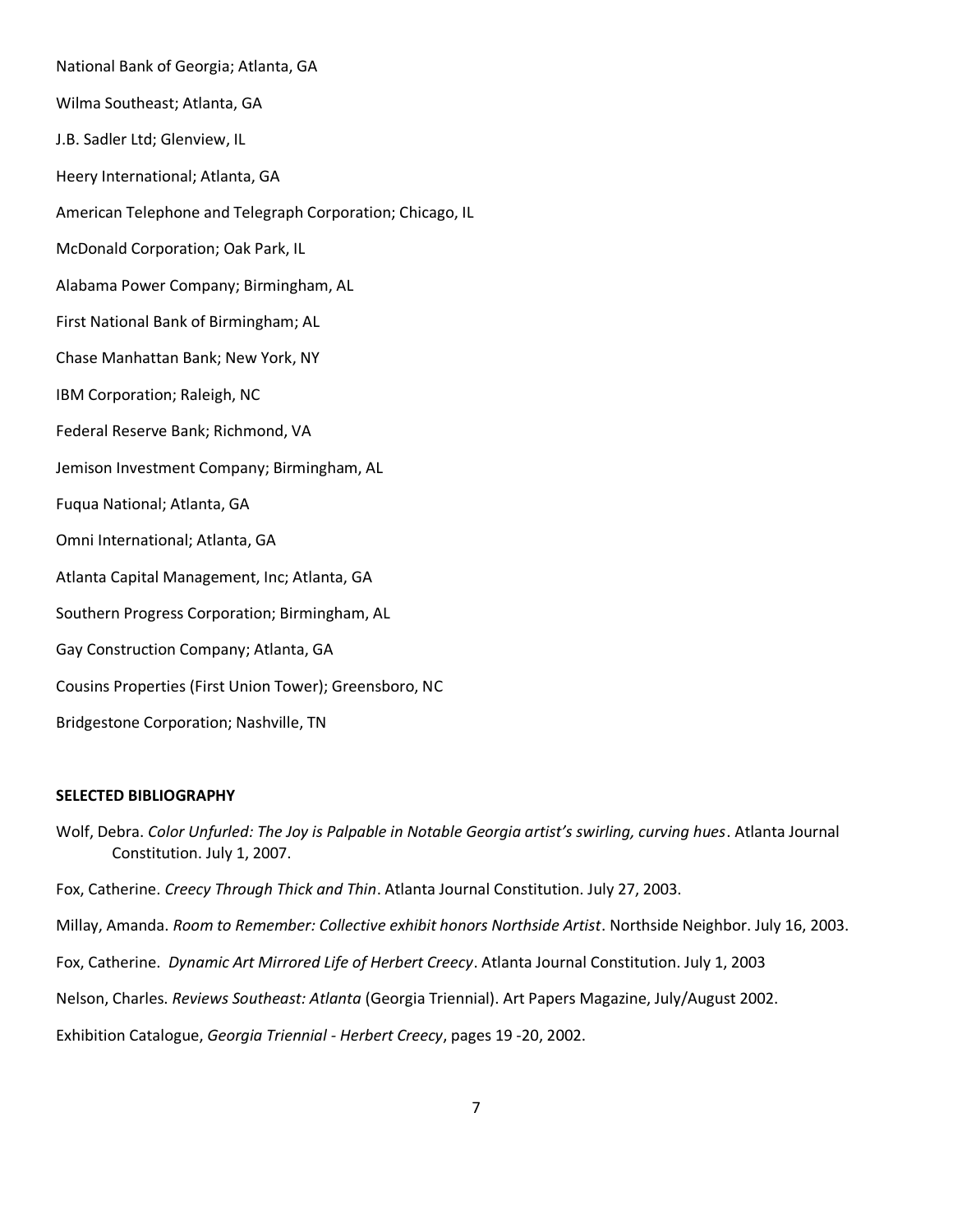National Bank of Georgia; Atlanta, GA Wilma Southeast; Atlanta, GA J.B. Sadler Ltd; Glenview, IL Heery International; Atlanta, GA American Telephone and Telegraph Corporation; Chicago, IL McDonald Corporation; Oak Park, IL Alabama Power Company; Birmingham, AL First National Bank of Birmingham; AL Chase Manhattan Bank; New York, NY IBM Corporation; Raleigh, NC Federal Reserve Bank; Richmond, VA Jemison Investment Company; Birmingham, AL Fuqua National; Atlanta, GA Omni International; Atlanta, GA Atlanta Capital Management, Inc; Atlanta, GA Southern Progress Corporation; Birmingham, AL Gay Construction Company; Atlanta, GA Cousins Properties (First Union Tower); Greensboro, NC Bridgestone Corporation; Nashville, TN

## **SELECTED BIBLIOGRAPHY**

Wolf, Debra. *Color Unfurled: The Joy is Palpable in Notable Georgia artist's swirling, curving hues*. Atlanta Journal Constitution. July 1, 2007.

Fox, Catherine. *Creecy Through Thick and Thin*. Atlanta Journal Constitution. July 27, 2003.

Millay, Amanda. *Room to Remember: Collective exhibit honors Northside Artist*. Northside Neighbor. July 16, 2003.

Fox, Catherine. *Dynamic Art Mirrored Life of Herbert Creecy*. Atlanta Journal Constitution. July 1, 2003

Nelson, Charles. *Reviews Southeast: Atlanta* (Georgia Triennial). Art Papers Magazine, July/August 2002.

Exhibition Catalogue, *Georgia Triennial - Herbert Creecy*, pages 19 -20, 2002.